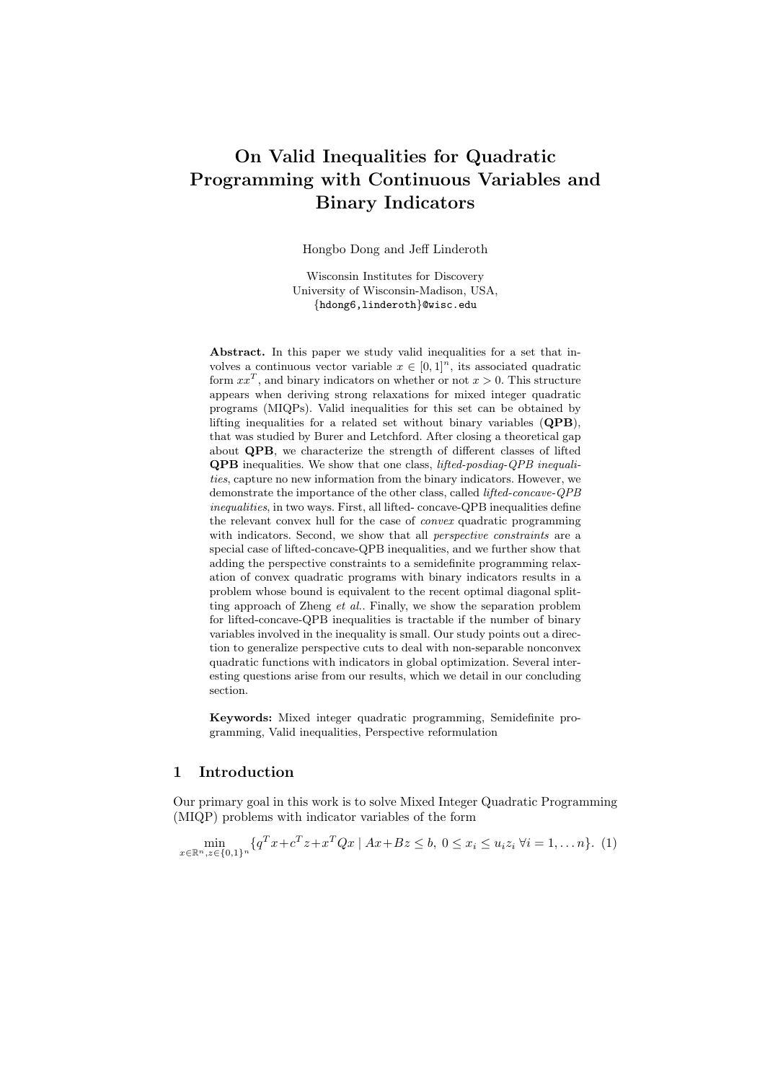# On Valid Inequalities for Quadratic Programming with Continuous Variables and Binary Indicators

Hongbo Dong and Jeff Linderoth

Wisconsin Institutes for Discovery University of Wisconsin-Madison, USA, {hdong6,linderoth}@wisc.edu

Abstract. In this paper we study valid inequalities for a set that involves a continuous vector variable  $x \in [0,1]^n$ , its associated quadratic form  $xx^T$ , and binary indicators on whether or not  $x > 0$ . This structure appears when deriving strong relaxations for mixed integer quadratic programs (MIQPs). Valid inequalities for this set can be obtained by lifting inequalities for a related set without binary variables (QPB), that was studied by Burer and Letchford. After closing a theoretical gap about QPB, we characterize the strength of different classes of lifted QPB inequalities. We show that one class, lifted-posdiag-QPB inequalities, capture no new information from the binary indicators. However, we demonstrate the importance of the other class, called lifted-concave-QPB inequalities, in two ways. First, all lifted- concave-QPB inequalities define the relevant convex hull for the case of convex quadratic programming with indicators. Second, we show that all *perspective constraints* are a special case of lifted-concave-QPB inequalities, and we further show that adding the perspective constraints to a semidefinite programming relaxation of convex quadratic programs with binary indicators results in a problem whose bound is equivalent to the recent optimal diagonal splitting approach of Zheng et al.. Finally, we show the separation problem for lifted-concave-QPB inequalities is tractable if the number of binary variables involved in the inequality is small. Our study points out a direction to generalize perspective cuts to deal with non-separable nonconvex quadratic functions with indicators in global optimization. Several interesting questions arise from our results, which we detail in our concluding section.

Keywords: Mixed integer quadratic programming, Semidefinite programming, Valid inequalities, Perspective reformulation

## 1 Introduction

Our primary goal in this work is to solve Mixed Integer Quadratic Programming (MIQP) problems with indicator variables of the form

$$
\min_{x \in \mathbb{R}^n, z \in \{0,1\}^n} \{q^T x + c^T z + x^T Q x \mid Ax + Bz \le b, \ 0 \le x_i \le u_i z_i \ \forall i = 1, \dots n\}.
$$
 (1)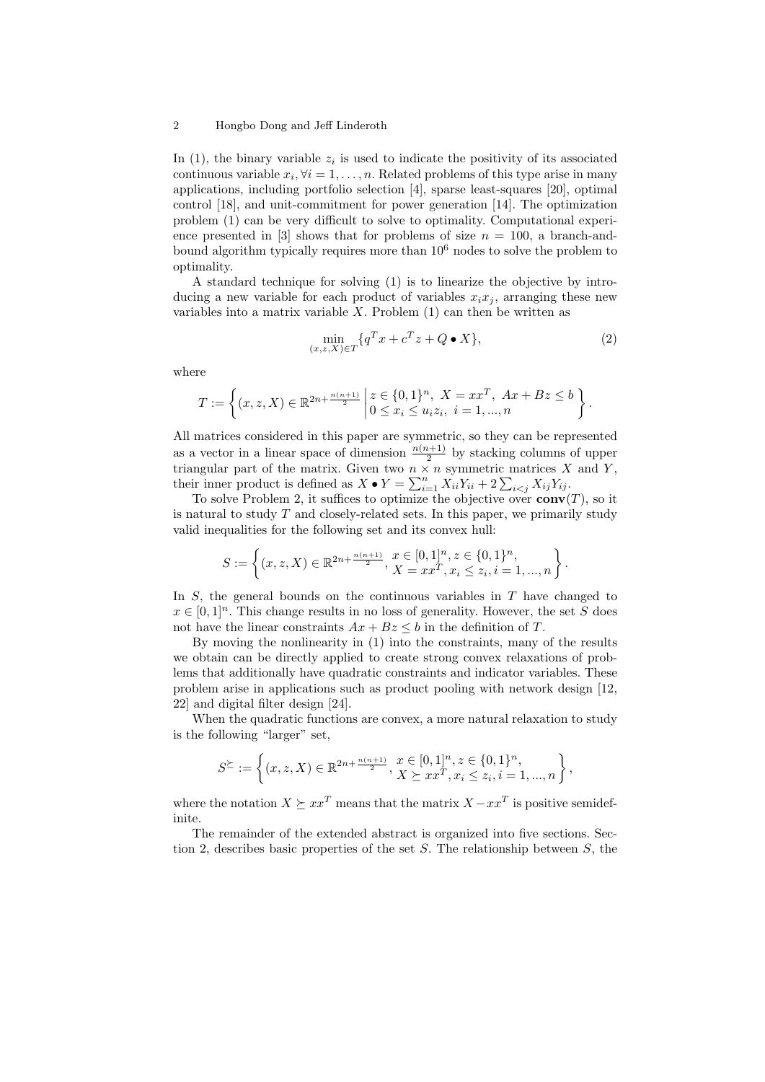In  $(1)$ , the binary variable  $z_i$  is used to indicate the positivity of its associated continuous variable  $x_i, \forall i = 1, \ldots, n$ . Related problems of this type arise in many applications, including portfolio selection [4], sparse least-squares [20], optimal control [18], and unit-commitment for power generation [14]. The optimization problem (1) can be very difficult to solve to optimality. Computational experience presented in [3] shows that for problems of size  $n = 100$ , a branch-andbound algorithm typically requires more than  $10^6$  nodes to solve the problem to optimality.

A standard technique for solving (1) is to linearize the objective by introducing a new variable for each product of variables  $x_i x_j$ , arranging these new variables into a matrix variable  $X$ . Problem  $(1)$  can then be written as

$$
\min_{(x,z,X)\in T} \{q^T x + c^T z + Q \bullet X\},\tag{2}
$$

where

$$
T := \left\{ (x, z, X) \in \mathbb{R}^{2n + \frac{n(n+1)}{2}} \middle| z \in \{0, 1\}^n, \ X = xx^T, \ Ax + Bz \le b \atop 0 \le x_i \le u_i z_i, \ i = 1, ..., n \right\}.
$$

All matrices considered in this paper are symmetric, so they can be represented as a vector in a linear space of dimension  $\frac{n(n+1)}{2}$  by stacking columns of upper triangular part of the matrix. Given two  $n \times n$  symmetric matrices X and Y, their inner product is defined as  $X \bullet Y = \sum_{i=1}^{n} X_{ii} Y_{ii} + 2 \sum_{i < j} X_{ij} Y_{ij}$ .

To solve Problem 2, it suffices to optimize the objective over  $conv(T)$ , so it is natural to study T and closely-related sets. In this paper, we primarily study valid inequalities for the following set and its convex hull:

$$
S := \left\{ (x, z, X) \in \mathbb{R}^{2n + \frac{n(n+1)}{2}}, \frac{x \in [0, 1]^n, z \in \{0, 1\}^n,}{X = xx^T, x_i \leq z_i, i = 1, ..., n} \right\}.
$$

In  $S$ , the general bounds on the continuous variables in  $T$  have changed to  $x \in [0,1]^n$ . This change results in no loss of generality. However, the set S does not have the linear constraints  $Ax + Bz \leq b$  in the definition of T.

By moving the nonlinearity in (1) into the constraints, many of the results we obtain can be directly applied to create strong convex relaxations of problems that additionally have quadratic constraints and indicator variables. These problem arise in applications such as product pooling with network design [12, 22] and digital filter design [24].

When the quadratic functions are convex, a more natural relaxation to study is the following "larger" set,

$$
S^{\succeq} := \left\{ (x, z, X) \in \mathbb{R}^{2n + \frac{n(n+1)}{2}}, \, \begin{matrix} x \in [0, 1]^n, z \in \{0, 1\}^n, \\ X \succeq xx^T, x_i \leq z_i, i = 1, ..., n \end{matrix} \right\},
$$

where the notation  $X \succeq xx^T$  means that the matrix  $X - xx^T$  is positive semidefinite.

The remainder of the extended abstract is organized into five sections. Section 2, describes basic properties of the set  $S$ . The relationship between  $S$ , the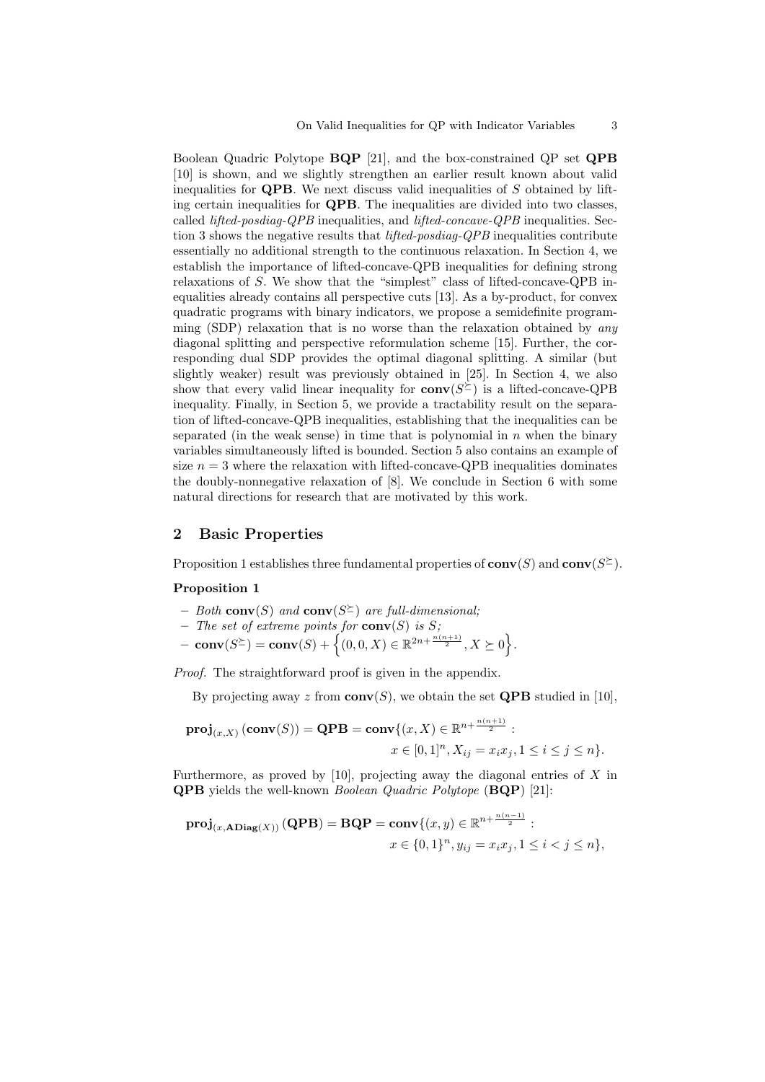Boolean Quadric Polytope BQP [21], and the box-constrained QP set QPB [10] is shown, and we slightly strengthen an earlier result known about valid inequalities for **QPB**. We next discuss valid inequalities of  $S$  obtained by lifting certain inequalities for QPB. The inequalities are divided into two classes, called *lifted-posdiag-QPB* inequalities, and *lifted-concave-QPB* inequalities. Section 3 shows the negative results that lifted-posdiag-QPB inequalities contribute essentially no additional strength to the continuous relaxation. In Section 4, we establish the importance of lifted-concave-QPB inequalities for defining strong relaxations of S. We show that the "simplest" class of lifted-concave-QPB inequalities already contains all perspective cuts [13]. As a by-product, for convex quadratic programs with binary indicators, we propose a semidefinite programming (SDP) relaxation that is no worse than the relaxation obtained by any diagonal splitting and perspective reformulation scheme [15]. Further, the corresponding dual SDP provides the optimal diagonal splitting. A similar (but slightly weaker) result was previously obtained in [25]. In Section 4, we also show that every valid linear inequality for  $conv(S^{\succeq})$  is a lifted-concave-QPB inequality. Finally, in Section 5, we provide a tractability result on the separation of lifted-concave-QPB inequalities, establishing that the inequalities can be separated (in the weak sense) in time that is polynomial in  $n$  when the binary variables simultaneously lifted is bounded. Section 5 also contains an example of size  $n = 3$  where the relaxation with lifted-concave-QPB inequalities dominates the doubly-nonnegative relaxation of [8]. We conclude in Section 6 with some natural directions for research that are motivated by this work.

## 2 Basic Properties

Proposition 1 establishes three fundamental properties of  $conv(S)$  and  $conv(S^{\geq})$ .

#### Proposition 1

- Both  $conv(S)$  and  $conv(S^{\succeq})$  are full-dimensional;
- The set of extreme points for  $conv(S)$  is S;
- $\text{ conv}(S^{\succeq}) = \text{conv}(S) + \left\{ (0, 0, X) \in \mathbb{R}^{2n + \frac{n(n+1)}{2}}, X \succeq 0 \right\}.$

Proof. The straightforward proof is given in the appendix.

By projecting away z from  $conv(S)$ , we obtain the set **QPB** studied in [10],

$$
\text{proj}_{(x,X)}\left(\text{conv}(S)\right) = \text{QPB} = \text{conv}\{(x,X) \in \mathbb{R}^{n+\frac{n(n+1)}{2}} :\\ x \in [0,1]^n, X_{ij} = x_i x_j, 1 \le i \le j \le n\}.
$$

Furthermore, as proved by [10], projecting away the diagonal entries of  $X$  in QPB yields the well-known Boolean Quadric Polytope (BQP) [21]:

$$
\mathbf{proj}_{(x,\mathbf{ADiag}(X))}(\mathbf{QPB}) = \mathbf{BQP} = \mathbf{conv}\{(x,y) \in \mathbb{R}^{n + \frac{n(n-1)}{2}} : x \in \{0,1\}^n, y_{ij} = x_i x_j, 1 \le i < j \le n\},\
$$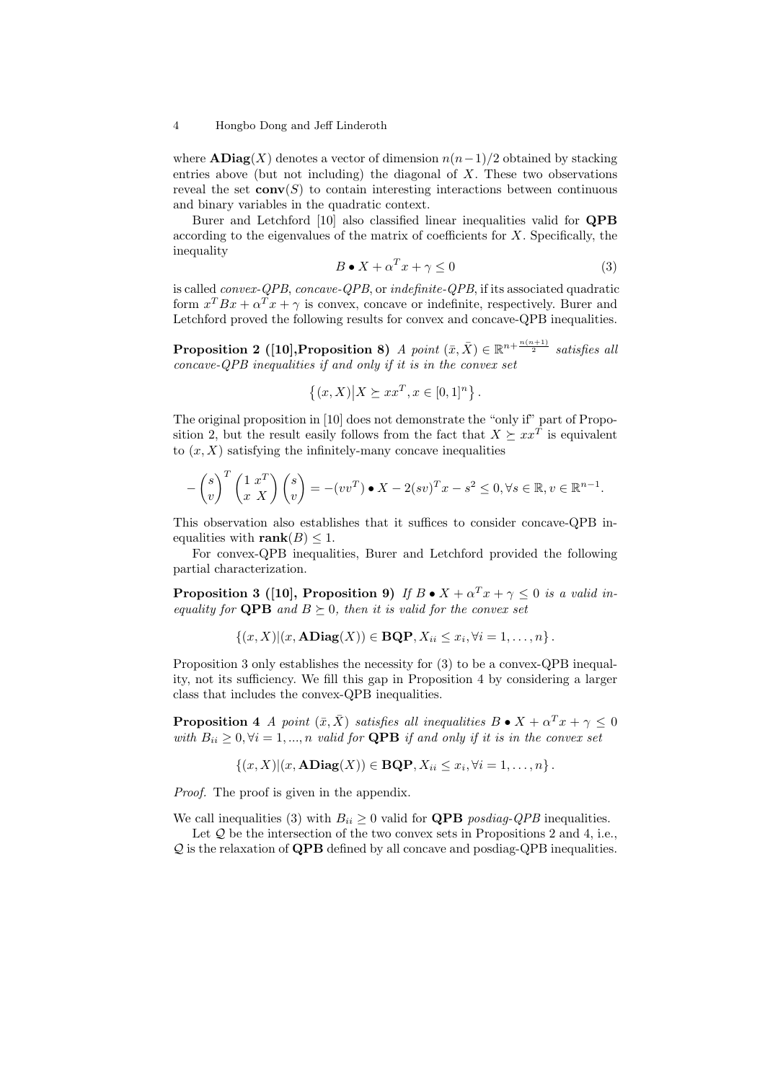where  $\mathbf{ADiag}(X)$  denotes a vector of dimension  $n(n-1)/2$  obtained by stacking entries above (but not including) the diagonal of  $X$ . These two observations reveal the set  $conv(S)$  to contain interesting interactions between continuous and binary variables in the quadratic context.

Burer and Letchford [10] also classified linear inequalities valid for QPB according to the eigenvalues of the matrix of coefficients for  $X$ . Specifically, the inequality

$$
B \bullet X + \alpha^T x + \gamma \le 0 \tag{3}
$$

is called convex-QPB, concave-QPB, or indefinite-QPB, if its associated quadratic form  $x^T B x + \alpha^T x + \gamma$  is convex, concave or indefinite, respectively. Burer and Letchford proved the following results for convex and concave-QPB inequalities.

**Proposition 2** ([10], **Proposition 8**) A point  $(\bar{x}, \bar{X}) \in \mathbb{R}^{n + \frac{n(n+1)}{2}}$  satisfies all concave-QPB inequalities if and only if it is in the convex set

$$
\{(x, X) | X \succeq xx^T, x \in [0, 1]^n\}.
$$

The original proposition in [10] does not demonstrate the "only if" part of Proposition 2, but the result easily follows from the fact that  $X \succeq xx^T$  is equivalent to  $(x, X)$  satisfying the infinitely-many concave inequalities

$$
-\begin{pmatrix} s \\ v \end{pmatrix}^T \begin{pmatrix} 1 & x^T \\ x & X \end{pmatrix} \begin{pmatrix} s \\ v \end{pmatrix} = -(vv^T) \bullet X - 2(sv)^T x - s^2 \le 0, \forall s \in \mathbb{R}, v \in \mathbb{R}^{n-1}.
$$

This observation also establishes that it suffices to consider concave-QPB inequalities with  $\text{rank}(B) \leq 1$ .

For convex-QPB inequalities, Burer and Letchford provided the following partial characterization.

**Proposition 3** ([10], Proposition 9) If  $B \bullet X + \alpha^T x + \gamma \leq 0$  is a valid inequality for **QPB** and  $B \succeq 0$ , then it is valid for the convex set

$$
\{(x,X)|(x,\mathbf{ADiag}(X))\in \mathbf{BQP}, X_{ii}\leq x_i, \forall i=1,\ldots,n\}.
$$

Proposition 3 only establishes the necessity for (3) to be a convex-OPB inequality, not its sufficiency. We fill this gap in Proposition 4 by considering a larger class that includes the convex-QPB inequalities.

**Proposition 4** A point  $(\bar{x}, \bar{X})$  satisfies all inequalities  $B \bullet X + \alpha^T x + \gamma \leq 0$ with  $B_{ii} \geq 0, \forall i = 1, ..., n$  valid for **QPB** if and only if it is in the convex set

$$
\{(x,X)| (x,\mathbf{ADiag}(X)) \in \mathbf{BQP}, X_{ii} \leq x_i, \forall i=1,\ldots,n\}.
$$

Proof. The proof is given in the appendix.

We call inequalities (3) with  $B_{ii} \geq 0$  valid for **QPB** posdiag-*QPB* inequalities.

Let  $Q$  be the intersection of the two convex sets in Propositions 2 and 4, i.e.,  ${\mathcal{Q}}$  is the relaxation of  $\mathbf{QPB}$  defined by all concave and posdiag-QPB inequalities.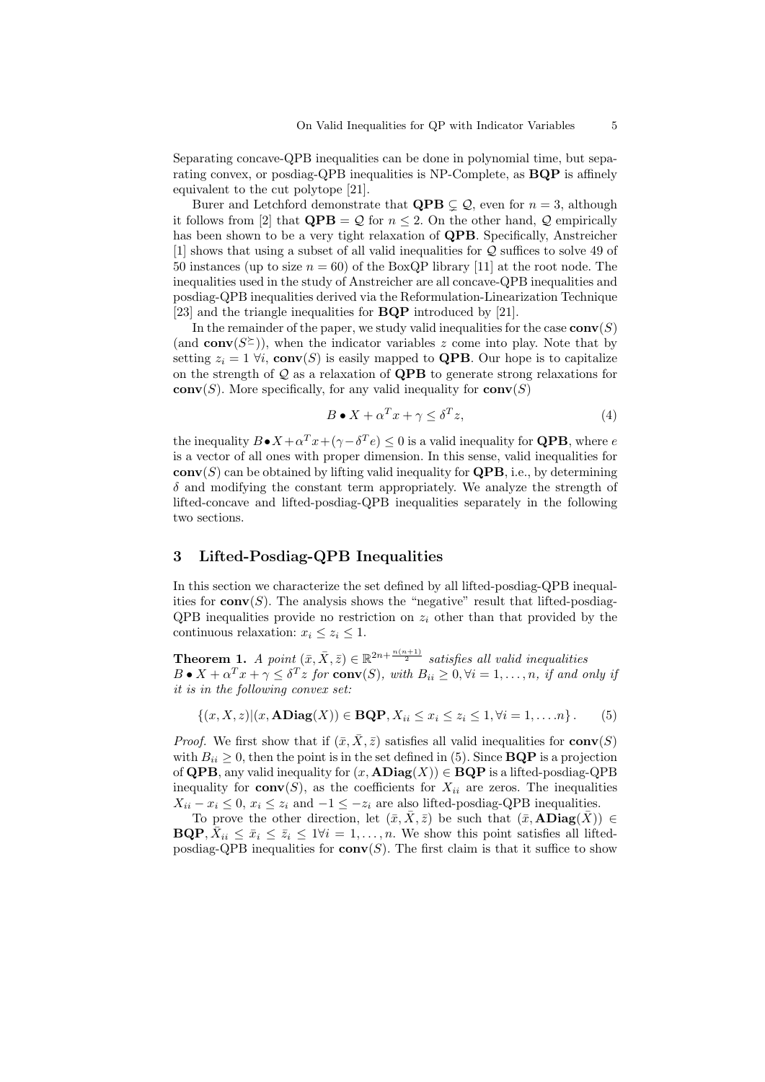Separating concave-QPB inequalities can be done in polynomial time, but separating convex, or posdiag-QPB inequalities is NP-Complete, as BQP is affinely equivalent to the cut polytope [21].

Burer and Letchford demonstrate that  $\mathbf{QPB} \subset \mathcal{Q}$ , even for  $n = 3$ , although it follows from [2] that  $\mathbf{QPB} = \mathcal{Q}$  for  $n \leq 2$ . On the other hand,  $\mathcal{Q}$  empirically has been shown to be a very tight relaxation of **QPB**. Specifically, Anstreicher [1] shows that using a subset of all valid inequalities for Q suffices to solve 49 of 50 instances (up to size  $n = 60$ ) of the BoxQP library [11] at the root node. The inequalities used in the study of Anstreicher are all concave-QPB inequalities and posdiag-QPB inequalities derived via the Reformulation-Linearization Technique [23] and the triangle inequalities for BQP introduced by [21].

In the remainder of the paper, we study valid inequalities for the case  $conv(S)$ (and  $conv(S^{\succeq})$ ), when the indicator variables z come into play. Note that by setting  $z_i = 1 \forall i$ , conv $(S)$  is easily mapped to QPB. Our hope is to capitalize on the strength of  $\mathcal Q$  as a relaxation of  $\mathbf{QPB}$  to generate strong relaxations for  $conv(S)$ . More specifically, for any valid inequality for  $conv(S)$ 

$$
B \bullet X + \alpha^T x + \gamma \le \delta^T z,\tag{4}
$$

the inequality  $B \cdot X + \alpha^T x + (\gamma - \delta^T e) \leq 0$  is a valid inequality for **QPB**, where e is a vector of all ones with proper dimension. In this sense, valid inequalities for  $conv(S)$  can be obtained by lifting valid inequality for **QPB**, i.e., by determining  $\delta$  and modifying the constant term appropriately. We analyze the strength of lifted-concave and lifted-posdiag-QPB inequalities separately in the following two sections.

# 3 Lifted-Posdiag-QPB Inequalities

In this section we characterize the set defined by all lifted-posdiag-QPB inequalities for  $conv(S)$ . The analysis shows the "negative" result that lifted-posdiag-QPB inequalities provide no restriction on  $z_i$  other than that provided by the continuous relaxation:  $x_i \leq z_i \leq 1$ .

**Theorem 1.** A point  $(\bar{x}, \bar{X}, \bar{z}) \in \mathbb{R}^{2n + \frac{n(n+1)}{2}}$  satisfies all valid inequalities  $B \bullet X + \alpha^T x + \gamma \leq \delta^T z$  for  $\textbf{conv}(S)$ , with  $B_{ii} \geq 0, \forall i = 1, \ldots, n$ , if and only if it is in the following convex set:

$$
\{(x, X, z) | (x, \mathbf{ADiag}(X)) \in \mathbf{BQP}, X_{ii} \le x_i \le z_i \le 1, \forall i = 1, \dots n\}.
$$
 (5)

*Proof.* We first show that if  $(\bar{x}, \bar{X}, \bar{z})$  satisfies all valid inequalities for conv(S) with  $B_{ii} \geq 0$ , then the point is in the set defined in (5). Since **BQP** is a projection of QPB, any valid inequality for  $(x, \text{ADiag}(X)) \in \text{BQP}$  is a lifted-posdiag-QPB inequality for  $conv(S)$ , as the coefficients for  $X_{ii}$  are zeros. The inequalities  $X_{ii} - x_i \leq 0$ ,  $x_i \leq z_i$  and  $-1 \leq -z_i$  are also lifted-posdiag-QPB inequalities.

To prove the other direction, let  $(\bar{x}, \bar{X}, \bar{z})$  be such that  $(\bar{x}, AB\text{lag}(\bar{X})) \in$  $BQP, \overline{X}_{ii} \leq \overline{x}_i \leq \overline{z}_i \leq 1 \forall i = 1, \ldots, n$ . We show this point satisfies all liftedposdiag-QPB inequalities for  $conv(S)$ . The first claim is that it suffice to show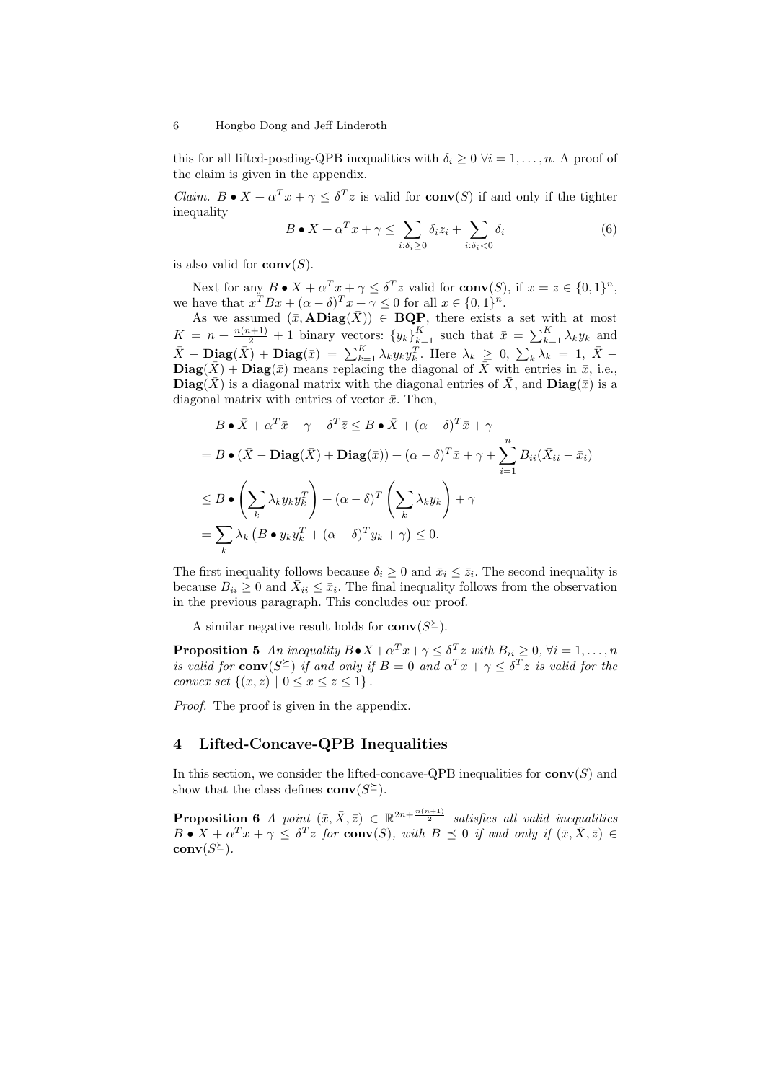this for all lifted-posdiag-QPB inequalities with  $\delta_i \geq 0$   $\forall i = 1, \ldots, n$ . A proof of the claim is given in the appendix.

*Claim.*  $B \bullet X + \alpha^T x + \gamma \leq \delta^T z$  is valid for **conv**(S) if and only if the tighter inequality

$$
B \bullet X + \alpha^T x + \gamma \le \sum_{i:\delta_i \ge 0} \delta_i z_i + \sum_{i:\delta_i < 0} \delta_i \tag{6}
$$

is also valid for  $conv(S)$ .

Next for any  $B \bullet X + \alpha^T x + \gamma \leq \delta^T z$  valid for  $conv(S)$ , if  $x = z \in \{0,1\}^n$ , we have that  $x^T B x + (\alpha - \delta)^T x + \gamma \leq 0$  for all  $x \in \{0, 1\}^n$ .

As we assumed  $(\bar{x}, \mathbf{ADiag}(\bar{X})) \in \mathbf{BQP}$ , there exists a set with at most  $K = n + \frac{n(n+1)}{2} + 1$  binary vectors:  $\{y_k\}_{k=1}^K$  such that  $\bar{x} = \sum_{k=1}^K \lambda_k y_k$  and  $\bar{X}$  –  $\text{Diag}(\bar{X})$  +  $\text{Diag}(\bar{x}) = \sum_{k=1}^{K} \lambda_k y_k y_k^T$ . Here  $\lambda_k \geq 0$ ,  $\sum_k \lambda_k = 1$ ,  $\bar{X}$  – **Diag**( $\bar{X}$ ) + **Diag**( $\bar{x}$ ) means replacing the diagonal of  $\bar{X}$  with entries in  $\bar{x}$ , i.e., **Diag**( $\bar{X}$ ) is a diagonal matrix with the diagonal entries of  $\bar{X}$ , and **Diag**( $\bar{x}$ ) is a diagonal matrix with entries of vector  $\bar{x}$ . Then,

$$
B \bullet \bar{X} + \alpha^T \bar{x} + \gamma - \delta^T \bar{z} \leq B \bullet \bar{X} + (\alpha - \delta)^T \bar{x} + \gamma
$$
  
=  $B \bullet (\bar{X} - \text{Diag}(\bar{X}) + \text{Diag}(\bar{x})) + (\alpha - \delta)^T \bar{x} + \gamma + \sum_{i=1}^n B_{ii}(\bar{X}_{ii} - \bar{x}_i)$   
 $\leq B \bullet \left(\sum_k \lambda_k y_k y_k^T\right) + (\alpha - \delta)^T \left(\sum_k \lambda_k y_k\right) + \gamma$   
=  $\sum_k \lambda_k (B \bullet y_k y_k^T + (\alpha - \delta)^T y_k + \gamma) \leq 0.$ 

The first inequality follows because  $\delta_i \geq 0$  and  $\bar{x}_i \leq \bar{z}_i$ . The second inequality is because  $B_{ii} \geq 0$  and  $\overline{X}_{ii} \leq \overline{x}_i$ . The final inequality follows from the observation in the previous paragraph. This concludes our proof.

A similar negative result holds for  $conv(S^{\succeq}).$ 

**Proposition 5** An inequality  $B \cdot X + \alpha^T x + \gamma \leq \delta^T z$  with  $B_{ii} \geq 0$ ,  $\forall i = 1, \ldots, n$ is valid for  $\text{conv}(S^{\succeq})$  if and only if  $B=0$  and  $\alpha^T x + \gamma \leq \delta^T z$  is valid for the convex set  $\{(x, z) | 0 \le x \le z \le 1\}$ .

Proof. The proof is given in the appendix.

## 4 Lifted-Concave-QPB Inequalities

In this section, we consider the lifted-concave-QPB inequalities for  $conv(S)$  and show that the class defines  $conv(S^{\succeq}).$ 

**Proposition 6** A point  $(\bar{x}, \bar{X}, \bar{z}) \in \mathbb{R}^{2n + \frac{n(n+1)}{2}}$  satisfies all valid inequalities  $B \bullet \overline{X} + \alpha^T x + \gamma \leq \delta^T z$  for  $\text{conv}(S)$ , with  $B \preceq 0$  if and only if  $(\overline{x}, \overline{X}, \overline{z}) \in$  ${\bf conv}(S^{\succeq}).$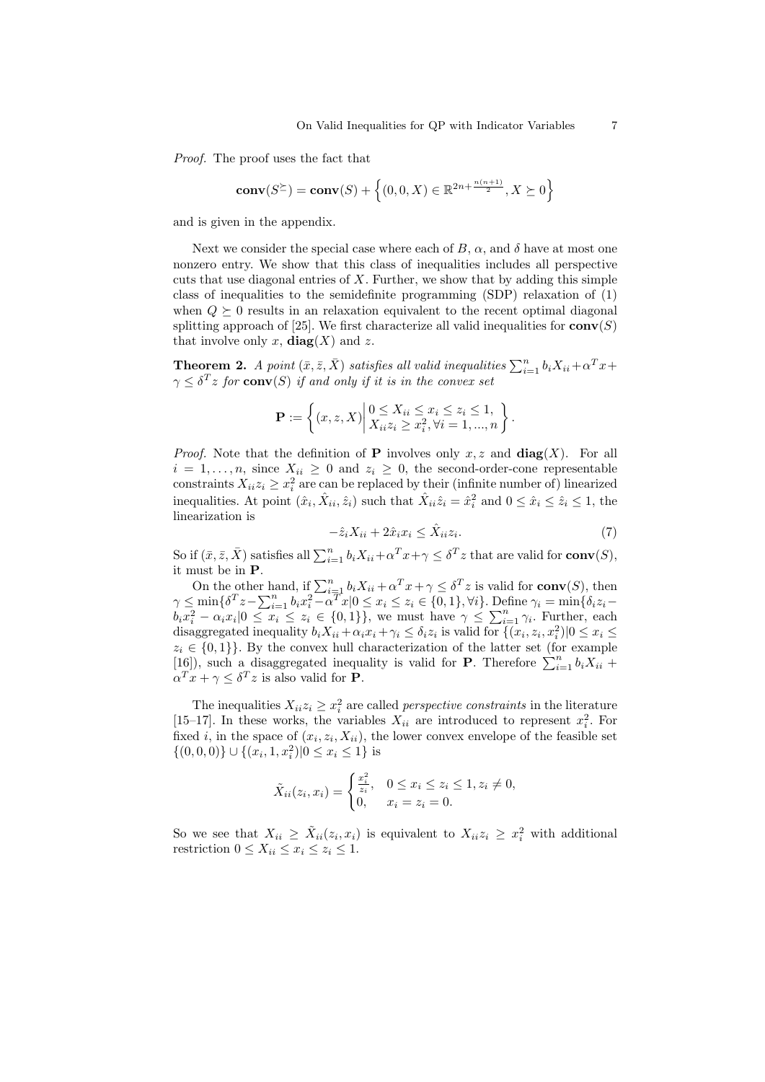Proof. The proof uses the fact that

$$
\mathbf{conv}(S^{\succeq}) = \mathbf{conv}(S) + \left\{ (0,0,X) \in \mathbb{R}^{2n + \frac{n(n+1)}{2}}, X \succeq 0 \right\}
$$

and is given in the appendix.

Next we consider the special case where each of  $B, \alpha$ , and  $\delta$  have at most one nonzero entry. We show that this class of inequalities includes all perspective cuts that use diagonal entries of  $X$ . Further, we show that by adding this simple class of inequalities to the semidefinite programming (SDP) relaxation of (1) when  $Q \succeq 0$  results in an relaxation equivalent to the recent optimal diagonal splitting approach of [25]. We first characterize all valid inequalities for  $conv(S)$ that involve only x,  $diag(X)$  and z.

**Theorem 2.** A point  $(\bar{x}, \bar{z}, \bar{X})$  satisfies all valid inequalities  $\sum_{i=1}^{n} b_i X_{ii} + \alpha^T x + \alpha^T y_{ii}$  $\gamma \leq \delta^T z$  for  $\textbf{conv}(S)$  if and only if it is in the convex set

$$
\mathbf{P} := \left\{ (x, z, X) \middle| \begin{aligned} 0 \le X_{ii} \le x_i \le z_i \le 1, \\ X_{ii} z_i \ge x_i^2, \forall i = 1, ..., n \end{aligned} \right\}.
$$

*Proof.* Note that the definition of **P** involves only  $x, z$  and  $diag(X)$ . For all  $i = 1, \ldots, n$ , since  $X_{ii} \geq 0$  and  $z_i \geq 0$ , the second-order-cone representable constraints  $X_{ii}z_i \geq x_i^2$  are can be replaced by their (infinite number of) linearized inequalities. At point  $(\hat{x}_i, \hat{X}_{ii}, \hat{z}_i)$  such that  $\hat{X}_{ii}\hat{z}_i = \hat{x}_i^2$  and  $0 \le \hat{x}_i \le \hat{z}_i \le 1$ , the linearization is

$$
-\hat{z}_i X_{ii} + 2\hat{x}_i x_i \le \hat{X}_{ii} z_i.
$$
\n<sup>(7)</sup>

So if  $(\bar{x}, \bar{z}, \bar{X})$  satisfies all  $\sum_{i=1}^{n} b_i X_{ii} + \alpha^T x + \gamma \leq \delta^T z$  that are valid for  $conv(S)$ , it must be in P.

On the other hand, if  $\sum_{i=1}^n b_i X_{ii} + \alpha^T x + \gamma \leq \delta^T z$  is valid for **conv**(*S*), then  $\gamma \leq \min\{\delta^T z - \sum_{i=1}^n b_i x_i^2 - \alpha^T x | 0 \leq x_i \leq z_i \in \{0, 1\}, \forall i\}.$  Define  $\gamma_i = \min\{\delta_i z_i - \delta^T x | 0 \leq z_i \leq z_i \leq \delta^T x\}$  $b_i \overline{x_i^2} - \alpha_i x_i | 0 \leq \overline{x_i} \leq \overline{z_i} \in \{0, 1\}$ , we must have  $\gamma \leq \sum_{i=1}^n \gamma_i$ . Further, each disaggregated inequality  $b_i X_{ii} + \alpha_i x_i + \gamma_i \leq \delta_i z_i$  is valid for  $\{(x_i, z_i, x_i^2) | 0 \leq x_i \leq$  $z_i \in \{0,1\}$ . By the convex hull characterization of the latter set (for example [16]), such a disaggregated inequality is valid for **P**. Therefore  $\sum_{i=1}^{n} b_i X_{ii}$  +  $\alpha^T x + \gamma \leq \delta^T z$  is also valid for **P**.

The inequalities  $X_{ii}z_i \geq x_i^2$  are called *perspective constraints* in the literature [15–17]. In these works, the variables  $X_{ii}$  are introduced to represent  $x_i^2$ . For fixed *i*, in the space of  $(x_i, z_i, X_{ii})$ , the lower convex envelope of the feasible set  $\{(0,0,0)\}\cup\{(x_i,1,x_i^2)|0\leq x_i\leq 1\}$  is

$$
\tilde{X}_{ii}(z_i, x_i) = \begin{cases} \frac{x_i^2}{z_i}, & 0 \le x_i \le z_i \le 1, z_i \ne 0, \\ 0, & x_i = z_i = 0. \end{cases}
$$

So we see that  $X_{ii} \geq \tilde{X}_{ii}(z_i, x_i)$  is equivalent to  $X_{ii}z_i \geq x_i^2$  with additional restriction  $0 \le X_{ii} \le x_i \le z_i \le 1$ .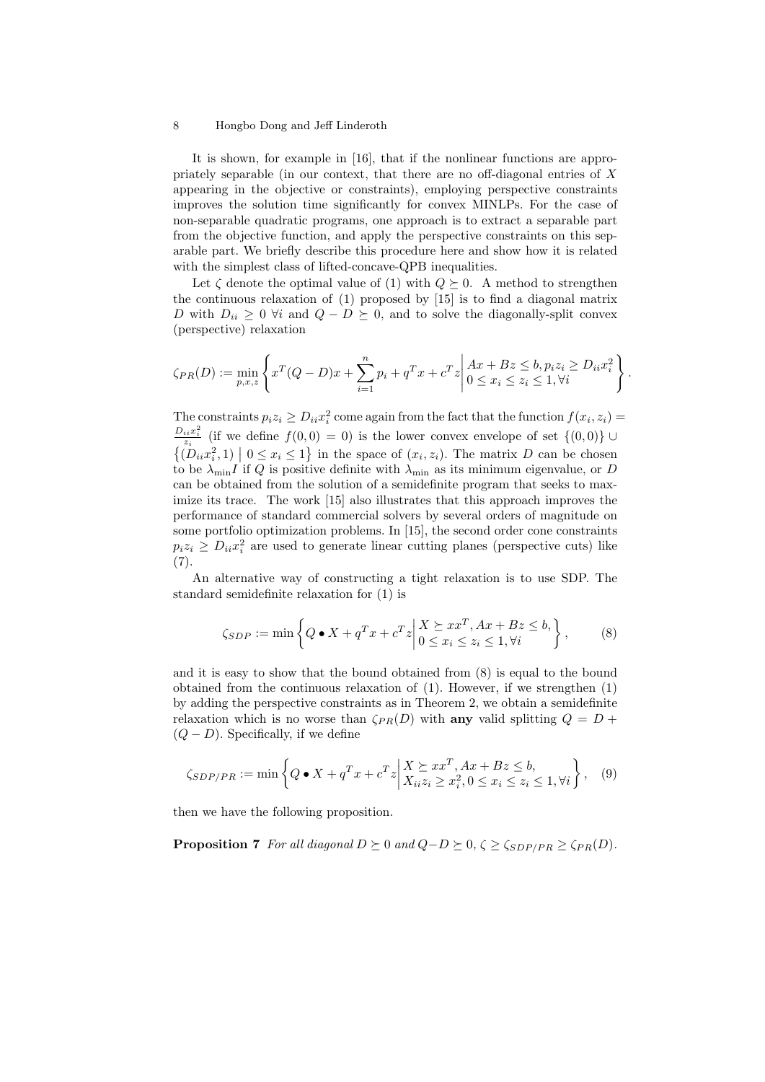It is shown, for example in [16], that if the nonlinear functions are appropriately separable (in our context, that there are no off-diagonal entries of  $X$ appearing in the objective or constraints), employing perspective constraints improves the solution time significantly for convex MINLPs. For the case of non-separable quadratic programs, one approach is to extract a separable part from the objective function, and apply the perspective constraints on this separable part. We briefly describe this procedure here and show how it is related with the simplest class of lifted-concave-QPB inequalities.

Let  $\zeta$  denote the optimal value of (1) with  $Q \succeq 0$ . A method to strengthen the continuous relaxation of (1) proposed by [15] is to find a diagonal matrix D with  $D_{ii} \geq 0$   $\forall i$  and  $Q - D \succeq 0$ , and to solve the diagonally-split convex (perspective) relaxation

$$
\zeta_{PR}(D) := \min_{p,x,z} \left\{ x^T (Q - D)x + \sum_{i=1}^n p_i + q^T x + c^T z \middle| \begin{aligned} Ax + Bz &\le b, p_i z_i \ge D_{ii} x_i^2 \\ 0 &\le x_i \le z_i \le 1, \forall i \end{aligned} \right\}.
$$

The constraints  $p_i z_i \ge D_{ii} x_i^2$  come again from the fact that the function  $f(x_i, z_i) =$  $\frac{D_{ii}x_i^2}{z_i}$  (if we define  $f(0,0) = 0$ ) is the lower convex envelope of set  $\{(0,0)\}\cup\{0\}$  $\{(D_{ii}x_i^2, 1) | 0 \le x_i \le 1\}$  in the space of  $(x_i, z_i)$ . The matrix D can be chosen to be  $\lambda_{\min}I$  if Q is positive definite with  $\lambda_{\min}$  as its minimum eigenvalue, or D can be obtained from the solution of a semidefinite program that seeks to maximize its trace. The work [15] also illustrates that this approach improves the performance of standard commercial solvers by several orders of magnitude on some portfolio optimization problems. In [15], the second order cone constraints  $p_i z_i \geq D_{ii} x_i^2$  are used to generate linear cutting planes (perspective cuts) like  $(7).$ 

An alternative way of constructing a tight relaxation is to use SDP. The standard semidefinite relaxation for (1) is

$$
\zeta_{SDP} := \min\left\{Q \bullet X + q^T x + c^T z \middle| \begin{matrix} X \succeq xx^T, Ax + Bz \le b, \\ 0 \le x_i \le z_i \le 1, \forall i \end{matrix} \right\},\tag{8}
$$

and it is easy to show that the bound obtained from (8) is equal to the bound obtained from the continuous relaxation of  $(1)$ . However, if we strengthen  $(1)$ by adding the perspective constraints as in Theorem 2, we obtain a semidefinite relaxation which is no worse than  $\zeta_{PR}(D)$  with any valid splitting  $Q = D +$  $(Q - D)$ . Specifically, if we define

$$
\zeta_{SDP/PR} := \min \left\{ Q \bullet X + q^T x + c^T z \middle| \begin{aligned} X &\geq x x^T, Ax + Bz \leq b, \\ X_{ii} z_i &\geq x_i^2, 0 \leq x_i \leq z_i \leq 1, \forall i \end{aligned} \right\}, \quad (9)
$$

then we have the following proposition.

**Proposition 7** For all diagonal  $D \succeq 0$  and  $Q-D \succeq 0$ ,  $\zeta \geq \zeta_{SDP/PR} \geq \zeta_{PR}(D)$ .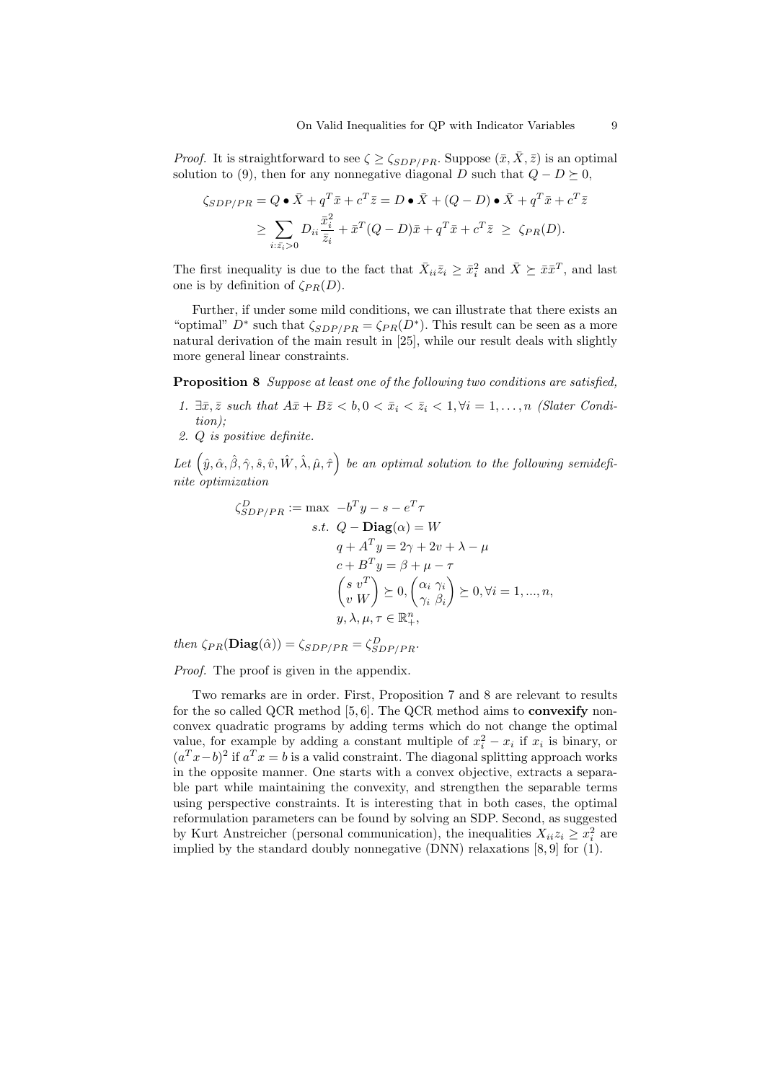*Proof.* It is straightforward to see  $\zeta \geq \zeta_{SDP/PR}$ . Suppose  $(\bar{x}, \bar{X}, \bar{z})$  is an optimal solution to (9), then for any nonnegative diagonal D such that  $Q - D \succeq 0$ ,

$$
\zeta_{SDP/PR} = Q \bullet \bar{X} + q^T \bar{x} + c^T \bar{z} = D \bullet \bar{X} + (Q - D) \bullet \bar{X} + q^T \bar{x} + c^T \bar{z}
$$
  
\n
$$
\geq \sum_{i:\bar{z}_i>0} D_{ii} \frac{\bar{x}_i^2}{\bar{z}_i} + \bar{x}^T (Q - D) \bar{x} + q^T \bar{x} + c^T \bar{z} \geq \zeta_{PR}(D).
$$

The first inequality is due to the fact that  $\bar{X}_{ii}\bar{z}_i \geq \bar{x}_i^2$  and  $\bar{X} \succeq \bar{x}\bar{x}^T$ , and last one is by definition of  $\zeta_{PR}(D)$ .

Further, if under some mild conditions, we can illustrate that there exists an "optimal"  $D^*$  such that  $\zeta_{SDP/PR} = \zeta_{PR}(D^*)$ . This result can be seen as a more natural derivation of the main result in [25], while our result deals with slightly more general linear constraints.

**Proposition 8** Suppose at least one of the following two conditions are satisfied,

- 1.  $\exists \bar{x}, \bar{z}$  such that  $A\bar{x} + B\bar{z} < b, 0 < \bar{x}_i < \bar{z}_i < 1, \forall i = 1, \ldots, n$  (Slater Condition);
- 2. Q is positive definite.

Let  $(\hat{y}, \hat{\alpha}, \hat{\beta}, \hat{\gamma}, \hat{s}, \hat{v}, \hat{W}, \hat{\lambda}, \hat{\mu}, \hat{\tau})$  be an optimal solution to the following semidefinite optimization

$$
\zeta_{SDP/PR}^{D} := \max \ -b^T y - s - e^T \tau
$$
  
s.t.  $Q - \text{Diag}(\alpha) = W$   
 $q + A^T y = 2\gamma + 2v + \lambda - \mu$   
 $c + B^T y = \beta + \mu - \tau$   
 $\begin{pmatrix} s & v^T \\ v & W \end{pmatrix} \succeq 0, \begin{pmatrix} \alpha_i & \gamma_i \\ \gamma_i & \beta_i \end{pmatrix} \succeq 0, \forall i = 1, ..., n,$   
 $y, \lambda, \mu, \tau \in \mathbb{R}_+^n,$ 

then  $\zeta_{PR}(\textbf{Diag}(\hat{\alpha})) = \zeta_{SDP/PR} = \zeta_{SDP/PR}^D$ .

Proof. The proof is given in the appendix.

Two remarks are in order. First, Proposition 7 and 8 are relevant to results for the so called QCR method [5, 6]. The QCR method aims to convexify nonconvex quadratic programs by adding terms which do not change the optimal value, for example by adding a constant multiple of  $x_i^2 - x_i$  if  $x_i$  is binary, or  $(a^T x - b)^2$  if  $a^T x = b$  is a valid constraint. The diagonal splitting approach works in the opposite manner. One starts with a convex objective, extracts a separable part while maintaining the convexity, and strengthen the separable terms using perspective constraints. It is interesting that in both cases, the optimal reformulation parameters can be found by solving an SDP. Second, as suggested by Kurt Anstreicher (personal communication), the inequalities  $X_{ii}z_i \geq x_i^2$  are implied by the standard doubly nonnegative (DNN) relaxations [8, 9] for (1).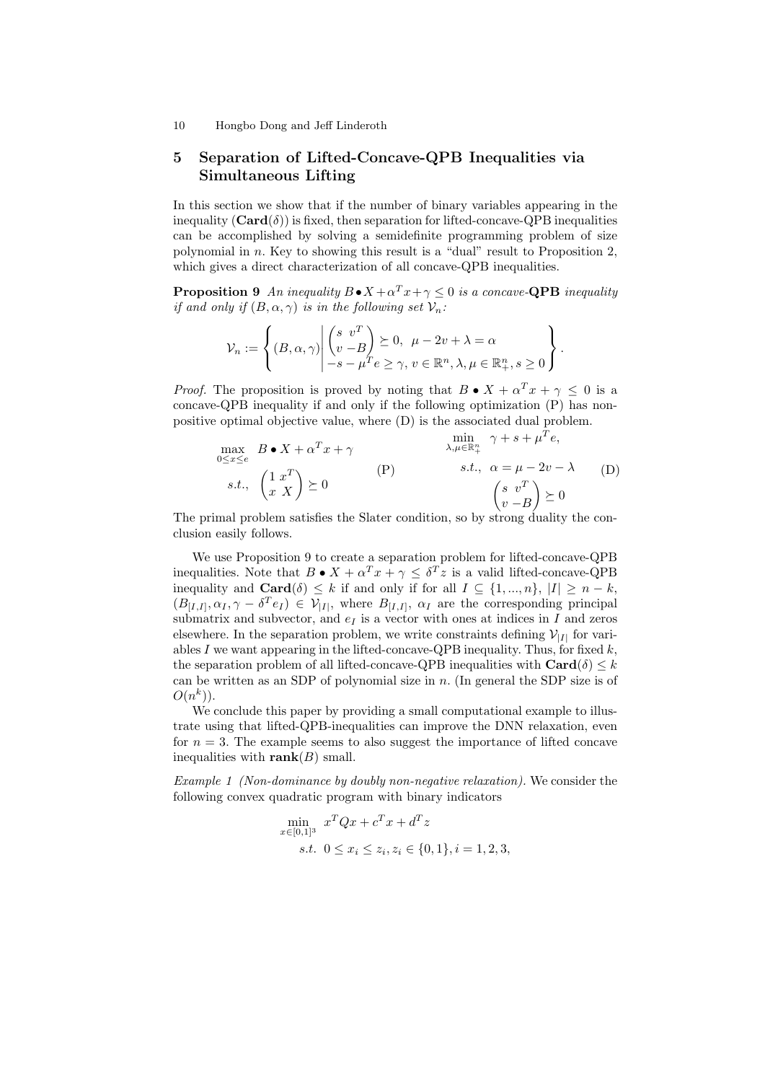# 5 Separation of Lifted-Concave-QPB Inequalities via Simultaneous Lifting

In this section we show that if the number of binary variables appearing in the inequality  $(\text{Card}(\delta))$  is fixed, then separation for lifted-concave-QPB inequalities can be accomplished by solving a semidefinite programming problem of size polynomial in  $n$ . Key to showing this result is a "dual" result to Proposition 2, which gives a direct characterization of all concave-QPB inequalities.

**Proposition 9** An inequality  $B \cdot X + \alpha^T x + \gamma \leq 0$  is a concave-QPB inequality if and only if  $(B, \alpha, \gamma)$  is in the following set  $\mathcal{V}_n$ :

$$
\mathcal{V}_n := \left\{ (B, \alpha, \gamma) \middle| \begin{pmatrix} s & v^T \\ v & -B \end{pmatrix} \succeq 0, \ \mu - 2v + \lambda = \alpha \\ -s - \mu^T e \ge \gamma, v \in \mathbb{R}^n, \lambda, \mu \in \mathbb{R}_+^n, s \ge 0 \end{pmatrix} \right\}.
$$

*Proof.* The proposition is proved by noting that  $B \bullet X + \alpha^T x + \gamma \leq 0$  is a concave-QPB inequality if and only if the following optimization (P) has nonpositive optimal objective value, where (D) is the associated dual problem.

$$
\begin{array}{ll}\n\max_{0 \le x \le e} & B \bullet X + \alpha^T x + \gamma & \min_{0 \le x \le e} & \gamma + s + \mu^T e, \\
s.t., \quad \begin{pmatrix} 1 & x^T \\ x & X \end{pmatrix} \succeq 0 & \text{(P)} & s.t., \quad \alpha = \mu - 2v - \lambda \\
& \begin{pmatrix} s & v^T \\ v - B \end{pmatrix} \succeq 0 & \text{(D)}\n\end{array}
$$

The primal problem satisfies the Slater condition, so by strong duality the conclusion easily follows.

We use Proposition 9 to create a separation problem for lifted-concave-QPB inequalities. Note that  $B \bullet X + \alpha^T x + \gamma \leq \delta^T z$  is a valid lifted-concave-QPB inequality and  $\mathbf{Card}(\delta) \leq k$  if and only if for all  $I \subseteq \{1, ..., n\}, |I| \geq n - k$ ,  $(B_{[I,I]}, \alpha_I, \gamma - \delta^T e_I) \in \mathcal{V}_{|I|}$ , where  $B_{[I,I]}, \alpha_I$  are the corresponding principal submatrix and subvector, and  $e_I$  is a vector with ones at indices in  $I$  and zeros elsewhere. In the separation problem, we write constraints defining  $\mathcal{V}_{|I|}$  for variables  $I$  we want appearing in the lifted-concave-QPB inequality. Thus, for fixed  $k$ , the separation problem of all lifted-concave-QPB inequalities with  $\text{Card}(\delta) \leq k$ can be written as an SDP of polynomial size in  $n$ . (In general the SDP size is of  $O(n^k)$ ).

We conclude this paper by providing a small computational example to illustrate using that lifted-QPB-inequalities can improve the DNN relaxation, even for  $n = 3$ . The example seems to also suggest the importance of lifted concave inequalities with  $rank(B)$  small.

Example 1 (Non-dominance by doubly non-negative relaxation). We consider the following convex quadratic program with binary indicators

$$
\min_{x \in [0,1]^3} x^T Q x + c^T x + d^T z
$$
  
s.t.  $0 \le x_i \le z_i, z_i \in \{0,1\}, i = 1,2,3,$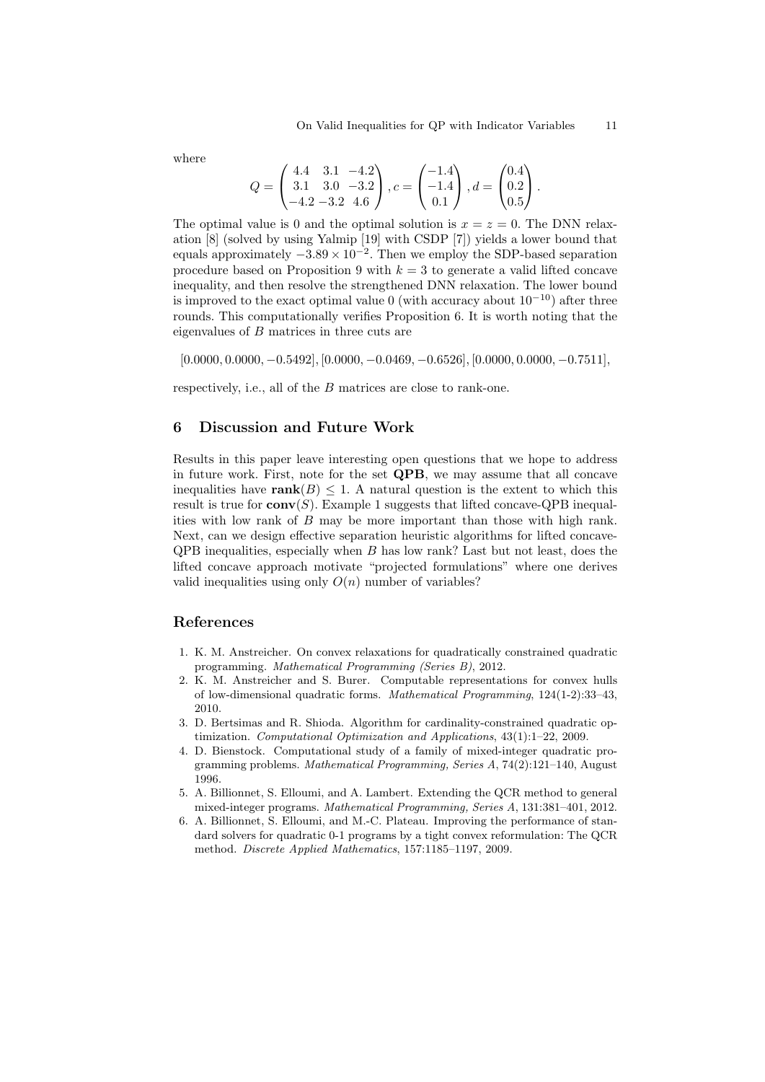where

$$
Q = \begin{pmatrix} 4.4 & 3.1 & -4.2 \\ 3.1 & 3.0 & -3.2 \\ -4.2 & -3.2 & 4.6 \end{pmatrix}, c = \begin{pmatrix} -1.4 \\ -1.4 \\ 0.1 \end{pmatrix}, d = \begin{pmatrix} 0.4 \\ 0.2 \\ 0.5 \end{pmatrix}.
$$

The optimal value is 0 and the optimal solution is  $x = z = 0$ . The DNN relaxation [8] (solved by using Yalmip [19] with CSDP [7]) yields a lower bound that equals approximately  $-3.89 \times 10^{-2}$ . Then we employ the SDP-based separation procedure based on Proposition 9 with  $k = 3$  to generate a valid lifted concave inequality, and then resolve the strengthened DNN relaxation. The lower bound is improved to the exact optimal value 0 (with accuracy about  $10^{-10}$ ) after three rounds. This computationally verifies Proposition 6. It is worth noting that the eigenvalues of B matrices in three cuts are

 $[0.0000, 0.0000, -0.5492], [0.0000, -0.0469, -0.6526], [0.0000, 0.0000, -0.7511],$ 

respectively, i.e., all of the B matrices are close to rank-one.

## 6 Discussion and Future Work

Results in this paper leave interesting open questions that we hope to address in future work. First, note for the set QPB, we may assume that all concave inequalities have rank( $B$ )  $\leq$  1. A natural question is the extent to which this result is true for  $conv(S)$ . Example 1 suggests that lifted concave-QPB inequalities with low rank of B may be more important than those with high rank. Next, can we design effective separation heuristic algorithms for lifted concave-QPB inequalities, especially when B has low rank? Last but not least, does the lifted concave approach motivate "projected formulations" where one derives valid inequalities using only  $O(n)$  number of variables?

## References

- 1. K. M. Anstreicher. On convex relaxations for quadratically constrained quadratic programming. Mathematical Programming (Series B), 2012.
- 2. K. M. Anstreicher and S. Burer. Computable representations for convex hulls of low-dimensional quadratic forms. Mathematical Programming, 124(1-2):33–43, 2010.
- 3. D. Bertsimas and R. Shioda. Algorithm for cardinality-constrained quadratic optimization. Computational Optimization and Applications, 43(1):1–22, 2009.
- 4. D. Bienstock. Computational study of a family of mixed-integer quadratic programming problems. Mathematical Programming, Series A, 74(2):121–140, August 1996.
- 5. A. Billionnet, S. Elloumi, and A. Lambert. Extending the QCR method to general mixed-integer programs. Mathematical Programming, Series A, 131:381–401, 2012.
- 6. A. Billionnet, S. Elloumi, and M.-C. Plateau. Improving the performance of standard solvers for quadratic 0-1 programs by a tight convex reformulation: The QCR method. Discrete Applied Mathematics, 157:1185–1197, 2009.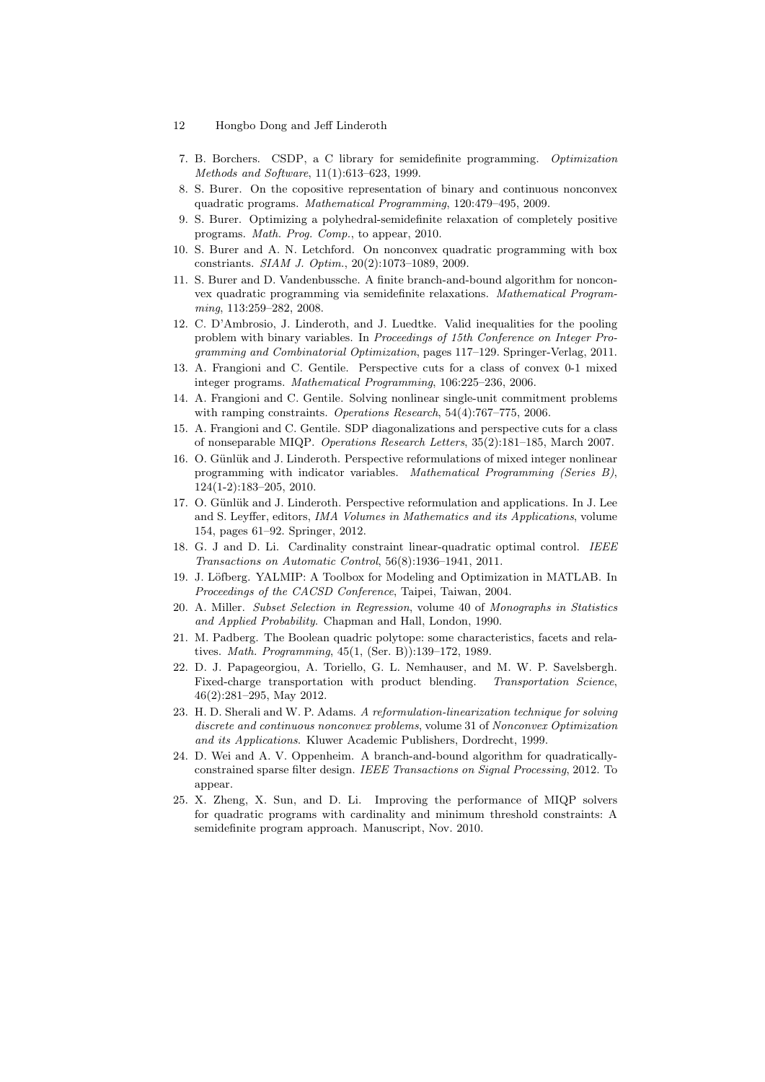- 12 Hongbo Dong and Jeff Linderoth
- 7. B. Borchers. CSDP, a C library for semidefinite programming. Optimization Methods and Software, 11(1):613–623, 1999.
- 8. S. Burer. On the copositive representation of binary and continuous nonconvex quadratic programs. Mathematical Programming, 120:479–495, 2009.
- 9. S. Burer. Optimizing a polyhedral-semidefinite relaxation of completely positive programs. Math. Prog. Comp., to appear, 2010.
- 10. S. Burer and A. N. Letchford. On nonconvex quadratic programming with box constriants. SIAM J. Optim., 20(2):1073–1089, 2009.
- 11. S. Burer and D. Vandenbussche. A finite branch-and-bound algorithm for nonconvex quadratic programming via semidefinite relaxations. Mathematical Programming, 113:259–282, 2008.
- 12. C. D'Ambrosio, J. Linderoth, and J. Luedtke. Valid inequalities for the pooling problem with binary variables. In Proceedings of 15th Conference on Integer Programming and Combinatorial Optimization, pages 117–129. Springer-Verlag, 2011.
- 13. A. Frangioni and C. Gentile. Perspective cuts for a class of convex 0-1 mixed integer programs. Mathematical Programming, 106:225–236, 2006.
- 14. A. Frangioni and C. Gentile. Solving nonlinear single-unit commitment problems with ramping constraints. Operations Research, 54(4):767–775, 2006.
- 15. A. Frangioni and C. Gentile. SDP diagonalizations and perspective cuts for a class of nonseparable MIQP. Operations Research Letters, 35(2):181–185, March 2007.
- 16. O. Günlük and J. Linderoth. Perspective reformulations of mixed integer nonlinear programming with indicator variables. Mathematical Programming (Series B), 124(1-2):183–205, 2010.
- 17. O. Günlük and J. Linderoth. Perspective reformulation and applications. In J. Lee and S. Leyffer, editors, IMA Volumes in Mathematics and its Applications, volume 154, pages 61–92. Springer, 2012.
- 18. G. J and D. Li. Cardinality constraint linear-quadratic optimal control. IEEE Transactions on Automatic Control, 56(8):1936–1941, 2011.
- 19. J. Löfberg. YALMIP: A Toolbox for Modeling and Optimization in MATLAB. In Proceedings of the CACSD Conference, Taipei, Taiwan, 2004.
- 20. A. Miller. Subset Selection in Regression, volume 40 of Monographs in Statistics and Applied Probability. Chapman and Hall, London, 1990.
- 21. M. Padberg. The Boolean quadric polytope: some characteristics, facets and relatives. Math. Programming, 45(1, (Ser. B)):139–172, 1989.
- 22. D. J. Papageorgiou, A. Toriello, G. L. Nemhauser, and M. W. P. Savelsbergh. Fixed-charge transportation with product blending. Transportation Science, 46(2):281–295, May 2012.
- 23. H. D. Sherali and W. P. Adams. A reformulation-linearization technique for solving discrete and continuous nonconvex problems, volume 31 of Nonconvex Optimization and its Applications. Kluwer Academic Publishers, Dordrecht, 1999.
- 24. D. Wei and A. V. Oppenheim. A branch-and-bound algorithm for quadraticallyconstrained sparse filter design. IEEE Transactions on Signal Processing, 2012. To appear.
- 25. X. Zheng, X. Sun, and D. Li. Improving the performance of MIQP solvers for quadratic programs with cardinality and minimum threshold constraints: A semidefinite program approach. Manuscript, Nov. 2010.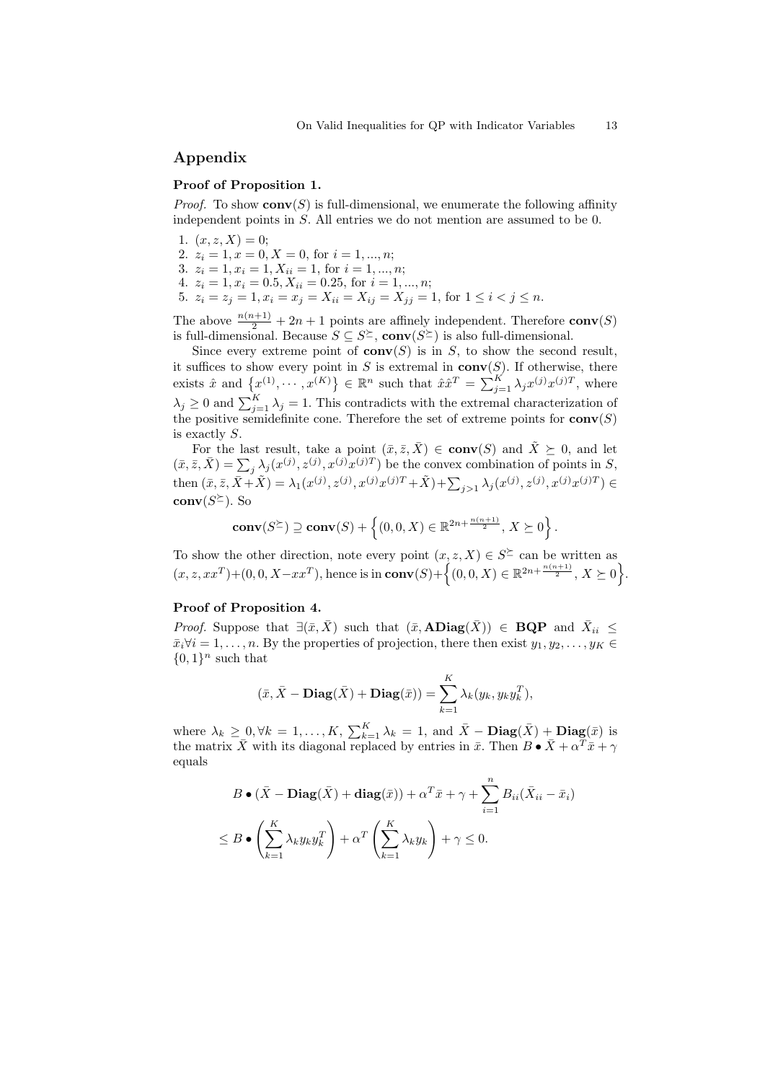## Appendix

#### Proof of Proposition 1.

*Proof.* To show  $conv(S)$  is full-dimensional, we enumerate the following affinity independent points in S. All entries we do not mention are assumed to be 0.

- 1.  $(x, z, X) = 0$ ;
- 2.  $z_i = 1, x = 0, X = 0$ , for  $i = 1, ..., n$ ;
- 3.  $z_i = 1, x_i = 1, X_{ii} = 1$ , for  $i = 1, ..., n$ ;
- 4.  $z_i = 1, x_i = 0.5, X_{ii} = 0.25,$  for  $i = 1, ..., n;$
- 5.  $z_i = z_j = 1, x_i = x_j = X_{ii} = X_{ij} = X_{jj} = 1$ , for  $1 \le i < j \le n$ .

The above  $\frac{n(n+1)}{2} + 2n + 1$  points are affinely independent. Therefore  $conv(S)$ is full-dimensional. Because  $S \subseteq S^{\succeq}$ , **conv** $(S^{\succeq})$  is also full-dimensional.

Since every extreme point of  $conv(S)$  is in S, to show the second result, it suffices to show every point in S is extremal in  $conv(S)$ . If otherwise, there exists  $\hat{x}$  and  $\{x^{(1)}, \dots, x^{(K)}\} \in \mathbb{R}^n$  such that  $\hat{x}\hat{x}^T = \sum_{j=1}^K \lambda_j x^{(j)} x^{(j)T}$ , where  $\lambda_j \geq 0$  and  $\sum_{j=1}^K \lambda_j = 1$ . This contradicts with the extremal characterization of the positive semidefinite cone. Therefore the set of extreme points for  $conv(S)$ is exactly S.

For the last result, take a point  $(\bar{x}, \bar{z}, \bar{X}) \in \text{conv}(S)$  and  $\tilde{X} \succeq 0$ , and let  $(\bar{x}, \bar{z}, \bar{X}) = \sum_j \lambda_j(x^{(j)}, z^{(j)}, x^{(j)}\bar{x}^{(j)T})$  be the convex combination of points in S, then  $(\bar{x}, \bar{z}, \bar{X} + \tilde{X}) = \lambda_1(x^{(j)}, z^{(j)}, x^{(j)}x^{(j)T} + \tilde{X}) + \sum_{j>1} \lambda_j(x^{(j)}, z^{(j)}, x^{(j)}x^{(j)T}) \in$  $conv(S^{\succeq})$ . So

$$
conv(S^{\succeq}) \supseteq conv(S) + \left\{ (0,0,X) \in \mathbb{R}^{2n + \frac{n(n+1)}{2}}, X \succeq 0 \right\}.
$$

To show the other direction, note every point  $(x, z, X) \in S^{\succeq}$  can be written as  $(x, z, xx^T) + (0, 0, X - xx^T)$ , hence is in  $conv(S) + \{(0, 0, X) \in \mathbb{R}^{2n + \frac{n(n+1)}{2}}, X \succeq 0\}$ .

#### Proof of Proposition 4.

*Proof.* Suppose that  $\exists (\bar{x}, \bar{X})$  such that  $(\bar{x}, AB\text{lag}(\bar{X})) \in BQP$  and  $\bar{X}_{ii} \leq$  $\bar{x}_i \forall i = 1, \ldots, n$ . By the properties of projection, there then exist  $y_1, y_2, \ldots, y_K \in$  $\{0,1\}$ <sup>n</sup> such that

$$
(\bar{x}, \bar{X} - \mathbf{Diag}(\bar{X}) + \mathbf{Diag}(\bar{x})) = \sum_{k=1}^{K} \lambda_k (y_k, y_k y_k^T),
$$

where  $\lambda_k \geq 0, \forall k = 1, ..., K, \sum_{k=1}^K \lambda_k = 1$ , and  $\bar{X} - \textbf{Diag}(\bar{X}) + \textbf{Diag}(\bar{x})$  is the matrix  $\bar{X}$  with its diagonal replaced by entries in  $\bar{x}$ . Then  $B \bullet \bar{X} + \alpha^T \bar{x} + \gamma$ equals

$$
B \bullet (\bar{X} - \mathbf{Diag}(\bar{X}) + \mathbf{diag}(\bar{x})) + \alpha^T \bar{x} + \gamma + \sum_{i=1}^n B_{ii} (\bar{X}_{ii} - \bar{x}_i)
$$
  

$$
\leq B \bullet \left(\sum_{k=1}^K \lambda_k y_k y_k^T\right) + \alpha^T \left(\sum_{k=1}^K \lambda_k y_k\right) + \gamma \leq 0.
$$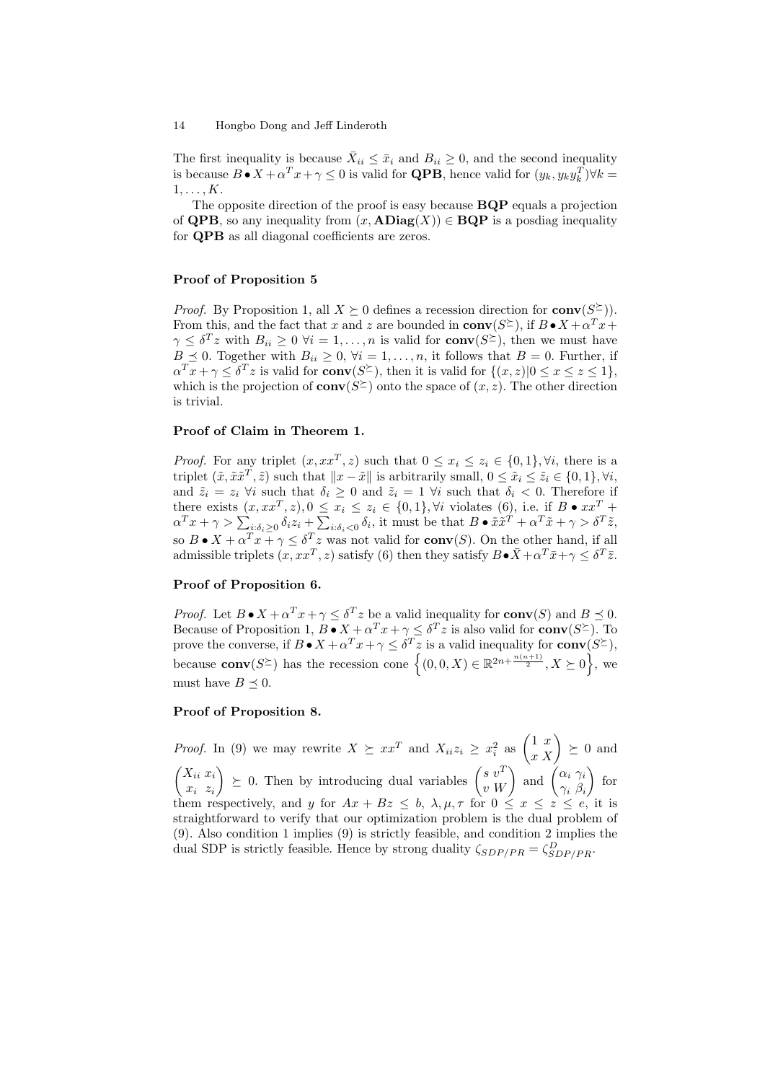The first inequality is because  $\bar{X}_{ii} \leq \bar{x}_i$  and  $B_{ii} \geq 0$ , and the second inequality is because  $B \cdot X + \alpha^T x + \gamma \leq 0$  is valid for **QPB**, hence valid for  $(y_k, y_k y_k^T) \forall k =$  $1, \ldots, K$ .

The opposite direction of the proof is easy because **BQP** equals a projection of QPB, so any inequality from  $(x, \text{ADiag}(X)) \in \text{BQP}$  is a posdiag inequality for QPB as all diagonal coefficients are zeros.

#### Proof of Proposition 5

*Proof.* By Proposition 1, all  $X \succeq 0$  defines a recession direction for  $conv(S^{\succeq})$ . From this, and the fact that x and z are bounded in  $conv(S^{\succeq})$ , if  $B \cdot X + \alpha^T x +$  $\gamma \leq \delta^T z$  with  $B_{ii} \geq 0$   $\forall i = 1, ..., n$  is valid for  $conv(S^{\succeq})$ , then we must have  $B \preceq 0$ . Together with  $B_{ii} \geq 0$ ,  $\forall i = 1, \ldots, n$ , it follows that  $B = 0$ . Further, if  $\alpha^T x + \gamma \leq \delta^T z$  is valid for  $\text{conv}(S^{\succeq})$ , then it is valid for  $\{(x, z) | 0 \leq x \leq z \leq 1\}$ , which is the projection of  $conv(S^{\succeq})$  onto the space of  $(x, z)$ . The other direction is trivial.

#### Proof of Claim in Theorem 1.

*Proof.* For any triplet  $(x, xx^T, z)$  such that  $0 \le x_i \le z_i \in \{0, 1\}$ ,  $\forall i$ , there is a triplet  $(\tilde{x}, \tilde{x}\tilde{x}^T, \tilde{z})$  such that  $||x - \tilde{x}||$  is arbitrarily small,  $0 \leq \tilde{x}_i \leq \tilde{z}_i \in \{0, 1\}, \forall i$ , and  $\tilde{z}_i = z_i \ \forall i$  such that  $\delta_i \geq 0$  and  $\tilde{z}_i = 1 \ \forall i$  such that  $\delta_i < 0$ . Therefore if there exists  $(x, xx^T, z), 0 \le x_i \le z_i \in \{0, 1\}, \forall i$  violates (6), i.e. if  $B \bullet xx^T +$  $\alpha^T x + \gamma > \sum_{i:\delta_i\geq 0} \delta_i z_i + \sum_{i:\delta_i\leq 0} \delta_i$ , it must be that  $B \bullet \tilde{x} \tilde{x}^T + \alpha^T \tilde{x} + \gamma > \delta^T \tilde{z}$ , so  $B \bullet X + \alpha^T x + \gamma \leq \delta^T z$  was not valid for  $conv(S)$ . On the other hand, if all admissible triplets  $(x, xx^T, z)$  satisfy  $(6)$  then they satisfy  $B \cdot \bar{X} + \alpha^T \bar{x} + \gamma \leq \delta^T \bar{z}$ .

## Proof of Proposition 6.

*Proof.* Let  $B \cdot X + \alpha^T x + \gamma \leq \delta^T z$  be a valid inequality for  $conv(S)$  and  $B \preceq 0$ . Because of Proposition 1,  $B \bullet X + \alpha^T x + \gamma \leq \delta^T z$  is also valid for  $\text{conv}(S^{\succeq})$ . To prove the converse, if  $B \bullet X + \alpha^T x + \gamma \leq \delta^T z$  is a valid inequality for  $\text{conv}(S^{\succeq})$ , because **conv** $(S^{\succeq})$  has the recession cone  $\{(0,0,X)\in\mathbb{R}^{2n+\frac{n(n+1)}{2}}, X\succeq 0\}$ , we must have  $B \preceq 0$ .

#### Proof of Proposition 8.

*Proof.* In (9) we may rewrite  $X \succeq xx^T$  and  $X_{ii}z_i \geq x_i^2$  as  $\begin{pmatrix} 1 & x \\ x & X \end{pmatrix} \succeq 0$  and  $\big(X_{ii}\ x_i\big)$  $x_i$   $z_i$  $\left( \begin{array}{c} s \\ v \end{array} \right) \geq 0.$  Then by introducing dual variables  $\begin{pmatrix} s \\ v \end{pmatrix}$  and  $\begin{pmatrix} \alpha_i \\ \gamma_i \end{pmatrix}$  $\gamma_i$   $\beta_i$  $\Big)$  for them respectively, and y for  $Ax + Bz \leq b$ ,  $\lambda, \mu, \tau$  for  $0 \leq x \leq z \leq e$ , it is straightforward to verify that our optimization problem is the dual problem of (9). Also condition 1 implies (9) is strictly feasible, and condition 2 implies the dual SDP is strictly feasible. Hence by strong duality  $\zeta_{SDP/PR} = \zeta_{SDP/PR}^D$ .